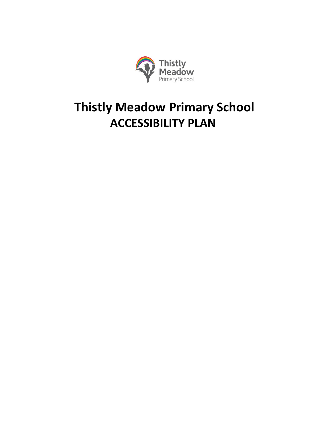

# **Thistly Meadow Primary School ACCESSIBILITY PLAN**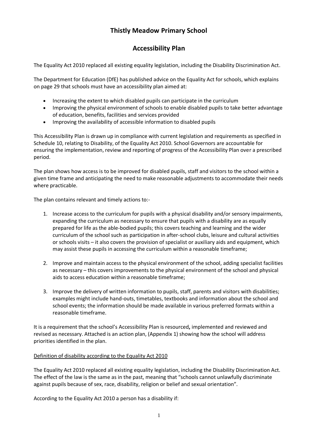# **Thistly Meadow Primary School**

# **Accessibility Plan**

The Equality Act 2010 replaced all existing equality legislation, including the Disability Discrimination Act.

The Department for Education (DfE) has published advice on the Equality Act for schools, which explains on page 29 that schools must have an accessibility plan aimed at:

- Increasing the extent to which disabled pupils can participate in the curriculum
- Improving the physical environment of schools to enable disabled pupils to take better advantage of education, benefits, facilities and services provided
- Improving the availability of accessible information to disabled pupils

This Accessibility Plan is drawn up in compliance with current legislation and requirements as specified in Schedule 10, relating to Disability, of the Equality Act 2010. School Governors are accountable for ensuring the implementation, review and reporting of progress of the Accessibility Plan over a prescribed period.

The plan shows how access is to be improved for disabled pupils, staff and visitors to the school within a given time frame and anticipating the need to make reasonable adjustments to accommodate their needs where practicable.

The plan contains relevant and timely actions to:-

- 1. Increase access to the curriculum for pupils with a physical disability and/or sensory impairments, expanding the curriculum as necessary to ensure that pupils with a disability are as equally prepared for life as the able-bodied pupils; this covers teaching and learning and the wider curriculum of the school such as participation in after-school clubs, leisure and cultural activities or schools visits – it also covers the provision of specialist or auxiliary aids and equipment, which may assist these pupils in accessing the curriculum within a reasonable timeframe;
- 2. Improve and maintain access to the physical environment of the school, adding specialist facilities as necessary – this covers improvements to the physical environment of the school and physical aids to access education within a reasonable timeframe;
- 3. Improve the delivery of written information to pupils, staff, parents and visitors with disabilities; examples might include hand-outs, timetables, textbooks and information about the school and school events; the information should be made available in various preferred formats within a reasonable timeframe.

It is a requirement that the school's Accessibility Plan is resourced**,** implemented and reviewed and revised as necessary. Attached is an action plan, (Appendix 1) showing how the school will address priorities identified in the plan.

### Definition of disability according to the Equality Act 2010

The Equality Act 2010 replaced all existing equality legislation, including the Disability Discrimination Act. The effect of the law is the same as in the past, meaning that "schools cannot unlawfully discriminate against pupils because of sex, race, disability, religion or belief and sexual orientation".

According to the Equality Act 2010 a person has a disability if: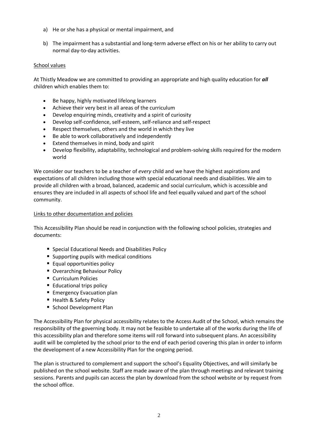- a) He or she has a physical or mental impairment, and
- b) The impairment has a substantial and long-term adverse effect on his or her ability to carry out normal day-to-day activities.

#### School values

At Thistly Meadow we are committed to providing an appropriate and high quality education for *all* children which enables them to:

- Be happy, highly motivated lifelong learners
- Achieve their very best in all areas of the curriculum
- Develop enquiring minds, creativity and a spirit of curiosity
- Develop self-confidence, self-esteem, self-reliance and self-respect
- Respect themselves, others and the world in which they live
- Be able to work collaboratively and independently
- Extend themselves in mind, body and spirit
- Develop flexibility, adaptability, technological and problem-solving skills required for the modern world

We consider our teachers to be a teacher of *every* child and we have the highest aspirations and expectations of all children including those with special educational needs and disabilities. We aim to provide all children with a broad, balanced, academic and social curriculum, which is accessible and ensures they are included in all aspects of school life and feel equally valued and part of the school community.

#### Links to other documentation and policies

This Accessibility Plan should be read in conjunction with the following school policies, strategies and documents:

- **Special Educational Needs and Disabilities Policy**
- Supporting pupils with medical conditions
- **Equal opportunities policy**
- **Overarching Behaviour Policy**
- Curriculum Policies
- **Educational trips policy**
- **Emergency Evacuation plan**
- Health & Safety Policy
- School Development Plan

The Accessibility Plan for physical accessibility relates to the Access Audit of the School, which remains the responsibility of the governing body. It may not be feasible to undertake all of the works during the life of this accessibility plan and therefore some items will roll forward into subsequent plans. An accessibility audit will be completed by the school prior to the end of each period covering this plan in order to inform the development of a new Accessibility Plan for the ongoing period.

The plan is structured to complement and support the school's Equality Objectives, and will similarly be published on the school website. Staff are made aware of the plan through meetings and relevant training sessions. Parents and pupils can access the plan by download from the school website or by request from the school office.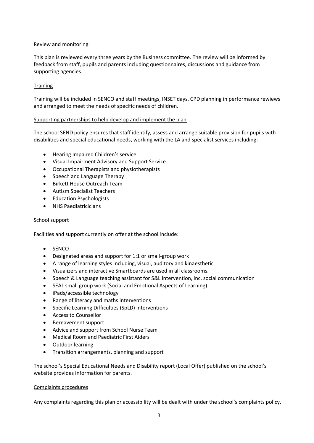#### Review and monitoring

This plan is reviewed every three years by the Business committee. The review will be informed by feedback from staff, pupils and parents including questionnaires, discussions and guidance from supporting agencies.

#### **Training**

Training will be included in SENCO and staff meetings, INSET days, CPD planning in performance rewiews and arranged to meet the needs of specific needs of children.

#### Supporting partnerships to help develop and implement the plan

The school SEND policy ensures that staff identify, assess and arrange suitable provision for pupils with disabilities and special educational needs, working with the LA and specialist services including:

- Hearing Impaired Children's service
- Visual Impairment Advisory and Support Service
- Occupational Therapists and physiotherapists
- Speech and Language Therapy
- Birkett House Outreach Team
- Autism Specialist Teachers
- Education Psychologists
- NHS Paediatricicians

#### School support

Facilities and support currently on offer at the school include:

- SENCO
- Designated areas and support for 1:1 or small-group work
- A range of learning styles including, visual, auditory and kinaesthetic
- Visualizers and interactive Smartboards are used in all classrooms.
- Speech & Language teaching assistant for S&L intervention, inc. social communication
- SEAL small group work (Social and Emotional Aspects of Learning)
- iPads/accessible technology
- Range of literacy and maths interventions
- Specific Learning Difficulties (SpLD) interventions
- Access to Counsellor
- Bereavement support
- Advice and support from School Nurse Team
- Medical Room and Paediatric First Aiders
- Outdoor learning
- Transition arrangements, planning and support

The school's Special Educational Needs and Disability report (Local Offer) published on the school's website provides information for parents.

#### Complaints procedures

Any complaints regarding this plan or accessibility will be dealt with under the school's complaints policy.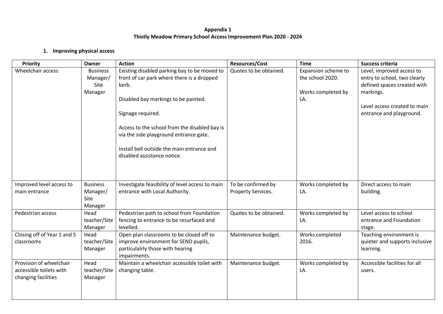## **Appendix 1 Thistly Meadow Primary School Access Improvement Plan 2020 - 2024**

#### **1. Improving physical access**

| Priority                                                                  | Owner                                          | <b>Action</b>                                                                                                                                                                                                                                                                                                                            | <b>Resources/Cost</b>                    | <b>Time</b>                                                          | <b>Success criteria</b>                                                                                                                                           |
|---------------------------------------------------------------------------|------------------------------------------------|------------------------------------------------------------------------------------------------------------------------------------------------------------------------------------------------------------------------------------------------------------------------------------------------------------------------------------------|------------------------------------------|----------------------------------------------------------------------|-------------------------------------------------------------------------------------------------------------------------------------------------------------------|
| Wheelchair access                                                         | <b>Business</b><br>Manager/<br>Site<br>Manager | Existing disabled parking bay to be moved to<br>front of car park where there is a dropped<br>kerb.<br>Disabled bay markings to be painted.<br>Signage required.<br>Access to the school from the disabled bay is<br>via the side playground entrance gate.<br>Install bell outside the main entrance and<br>disabled assistance notice. | Quotes to be obtained.                   | Expansion scheme to<br>the school 2020.<br>Works completed by<br>LA. | Level, improved access to<br>entry to school, two clearly<br>defined spaces created with<br>markings.<br>Level access created to main<br>entrance and playground. |
| Improved level access to<br>main entrance                                 | <b>Business</b><br>Manager/<br>Site<br>Manager | Investigate feasibility of level access to main<br>entrance with Local Authority.                                                                                                                                                                                                                                                        | To be confirmed by<br>Property Services. | Works completed by<br>LA.                                            | Direct access to main<br>building.                                                                                                                                |
| Pedestrian access                                                         | Head<br>teacher/Site<br>Manager                | Pedestrian path to school from Foundation<br>fencing to entrance to be resurfaced and<br>levelled.                                                                                                                                                                                                                                       | Quotes to be obtained.                   | Works completed by<br>LA.                                            | Level access to school<br>entrance and Foundation<br>stage.                                                                                                       |
| Closing off of Year 1 and 5<br>classrooms                                 | Head<br>teacher/Site<br>Manager                | Open plan classrooms to be closed off to<br>improve environment for SEND pupils,<br>particulalrly those with hearing<br>impairments.                                                                                                                                                                                                     | Maintenance budget.                      | Works completed<br>2016.                                             | Teaching environment is<br>quieter and supports inclusive<br>learning.                                                                                            |
| Provision of wheelchair<br>accessible toilets with<br>changing facilities | Head<br>teacher/Site<br>Manager                | Maintain a wheelchair accessible toilet with<br>changing table.                                                                                                                                                                                                                                                                          | Maintenance budget.                      | Works completed by<br>LA.                                            | Accessible facilities for all<br>users.                                                                                                                           |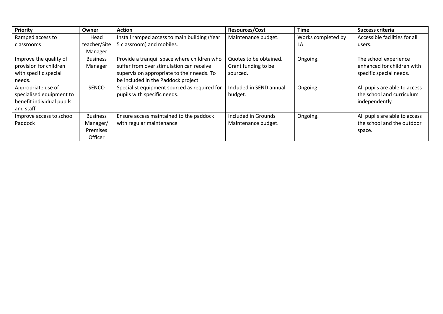| <b>Priority</b>           | Owner           | <b>Action</b>                                | <b>Resources/Cost</b>   | <b>Time</b>        | Success criteria              |
|---------------------------|-----------------|----------------------------------------------|-------------------------|--------------------|-------------------------------|
| Ramped access to          | Head            | Install ramped access to main building (Year | Maintenance budget.     | Works completed by | Accessible facilities for all |
| classrooms                | teacher/Site    | 5 classroom) and mobiles.                    |                         | LA.                | users.                        |
|                           | Manager         |                                              |                         |                    |                               |
| Improve the quality of    | <b>Business</b> | Provide a tranquil space where children who  | Quotes to be obtained.  | Ongoing.           | The school experience         |
| provision for children    | Manager         | suffer from over stimulation can receive     | Grant funding to be     |                    | enhanced for children with    |
| with specific special     |                 | supervision appropriate to their needs. To   | sourced.                |                    | specific special needs.       |
| needs.                    |                 | be included in the Paddock project.          |                         |                    |                               |
| Appropriate use of        | SENCO           | Specialist equipment sourced as required for | Included in SEND annual | Ongoing.           | All pupils are able to access |
| specialised equipment to  |                 | pupils with specific needs.                  | budget.                 |                    | the school and curriculum     |
| benefit individual pupils |                 |                                              |                         |                    | independently.                |
| and staff                 |                 |                                              |                         |                    |                               |
| Improve access to school  | <b>Business</b> | Ensure access maintained to the paddock      | Included in Grounds     | Ongoing.           | All pupils are able to access |
| Paddock                   | Manager/        | with regular maintenance                     | Maintenance budget.     |                    | the school and the outdoor    |
|                           | <b>Premises</b> |                                              |                         |                    | space.                        |
|                           | Officer         |                                              |                         |                    |                               |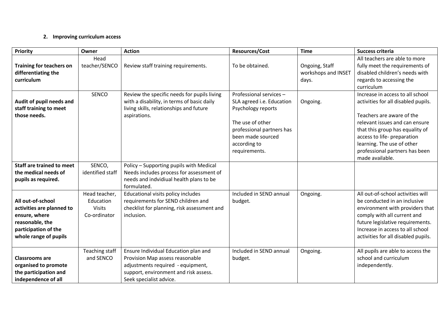# **2. Improving curriculum access**

| <b>Priority</b>                                                                                                                     | Owner                                                       | <b>Action</b>                                                                                                                                                                    | <b>Resources/Cost</b>                                                                                                                                                             | <b>Time</b>                                    | <b>Success criteria</b>                                                                                                                                                                                                                                                                     |
|-------------------------------------------------------------------------------------------------------------------------------------|-------------------------------------------------------------|----------------------------------------------------------------------------------------------------------------------------------------------------------------------------------|-----------------------------------------------------------------------------------------------------------------------------------------------------------------------------------|------------------------------------------------|---------------------------------------------------------------------------------------------------------------------------------------------------------------------------------------------------------------------------------------------------------------------------------------------|
| <b>Training for teachers on</b><br>differentiating the<br>curriculum                                                                | Head<br>teacher/SENCO                                       | Review staff training requirements.                                                                                                                                              | To be obtained.                                                                                                                                                                   | Ongoing, Staff<br>workshops and INSET<br>days. | All teachers are able to more<br>fully meet the requirements of<br>disabled children's needs with<br>regards to accessing the<br>curriculum                                                                                                                                                 |
| Audit of pupil needs and<br>staff training to meet<br>those needs.                                                                  | <b>SENCO</b>                                                | Review the specific needs for pupils living<br>with a disability, in terms of basic daily<br>living skills, relationships and future<br>aspirations.                             | Professional services -<br>SLA agreed i.e. Education<br>Psychology reports<br>The use of other<br>professional partners has<br>been made sourced<br>according to<br>requirements. | Ongoing.                                       | Increase in access to all school<br>activities for all disabled pupils.<br>Teachers are aware of the<br>relevant issues and can ensure<br>that this group has equality of<br>access to life- preparation<br>learning. The use of other<br>professional partners has been<br>made available. |
| <b>Staff are trained to meet</b><br>the medical needs of<br>pupils as required.                                                     | SENCO,<br>identified staff                                  | Policy - Supporting pupils with Medical<br>Needs includes process for assessment of<br>needs and indvidiual health plans to be<br>formulated.                                    |                                                                                                                                                                                   |                                                |                                                                                                                                                                                                                                                                                             |
| All out-of-school<br>activities are planned to<br>ensure, where<br>reasonable, the<br>participation of the<br>whole range of pupils | Head teacher,<br>Education<br><b>Visits</b><br>Co-ordinator | Educational visits policy includes<br>requirements for SEND children and<br>checklist for planning, risk assessment and<br>inclusion.                                            | Included in SEND annual<br>budget.                                                                                                                                                | Ongoing.                                       | All out-of-school activities will<br>be conducted in an inclusive<br>environment with providers that<br>comply with all current and<br>future legislative requirements.<br>Increase in access to all school<br>activities for all disabled pupils.                                          |
| <b>Classrooms are</b><br>organised to promote<br>the participation and<br>independence of all                                       | Teaching staff<br>and SENCO                                 | Ensure Individual Education plan and<br>Provision Map assess reasonable<br>adjustments required - equipment,<br>support, environment and risk assess.<br>Seek specialist advice. | Included in SEND annual<br>budget.                                                                                                                                                | Ongoing.                                       | All pupils are able to access the<br>school and curriculum<br>independently.                                                                                                                                                                                                                |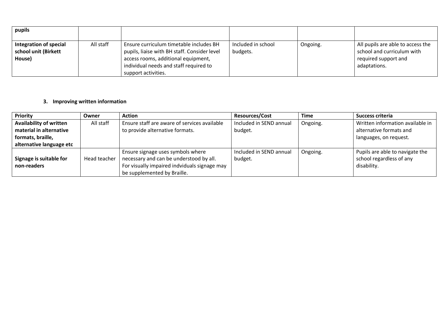| pupils                                                   |           |                                                                                                                                                                                                 |                                |          |                                                                                                         |
|----------------------------------------------------------|-----------|-------------------------------------------------------------------------------------------------------------------------------------------------------------------------------------------------|--------------------------------|----------|---------------------------------------------------------------------------------------------------------|
| Integration of special<br>school unit (Birkett<br>House) | All staff | Ensure curriculum timetable includes BH<br>pupils, liaise with BH staff. Consider level<br>access rooms, additional equipment,<br>individual needs and staff required to<br>support activities. | Included in school<br>budgets. | Ongoing. | All pupils are able to access the<br>school and curriculum with<br>required support and<br>adaptations. |

## **3. Improving written information**

| Priority                       | Owner        | <b>Action</b>                                | <b>Resources/Cost</b>   | <b>Time</b> | Success criteria                 |
|--------------------------------|--------------|----------------------------------------------|-------------------------|-------------|----------------------------------|
| <b>Availability of written</b> | All staff    | Ensure staff are aware of services available | Included in SEND annual | Ongoing.    | Written information available in |
| material in alternative        |              | to provide alternative formats.              | budget.                 |             | alternative formats and          |
| formats, braille,              |              |                                              |                         |             | languages, on request.           |
| alternative language etc       |              |                                              |                         |             |                                  |
|                                |              | Ensure signage uses symbols where            | Included in SEND annual | Ongoing.    | Pupils are able to navigate the  |
| Signage is suitable for        | Head teacher | necessary and can be understood by all.      | budget.                 |             | school regardless of any         |
| non-readers                    |              | For visually impaired indviduals signage may |                         |             | disability.                      |
|                                |              | be supplemented by Braille.                  |                         |             |                                  |